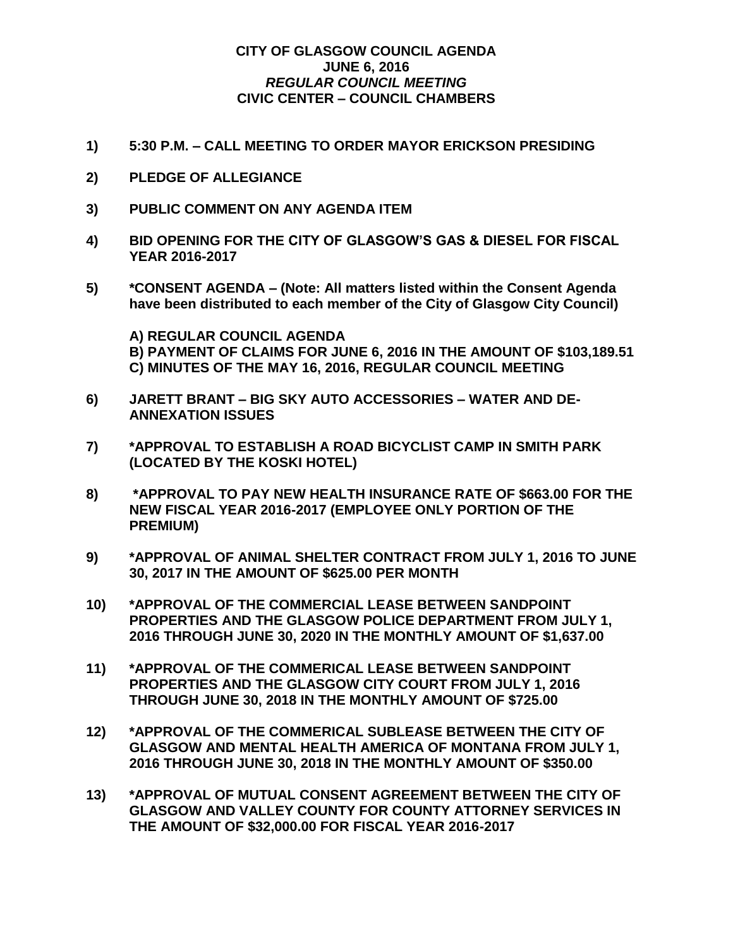## **CITY OF GLASGOW COUNCIL AGENDA JUNE 6, 2016** *REGULAR COUNCIL MEETING* **CIVIC CENTER – COUNCIL CHAMBERS**

- **1) 5:30 P.M. – CALL MEETING TO ORDER MAYOR ERICKSON PRESIDING**
- **2) PLEDGE OF ALLEGIANCE**
- **3) PUBLIC COMMENT ON ANY AGENDA ITEM**
- **4) BID OPENING FOR THE CITY OF GLASGOW'S GAS & DIESEL FOR FISCAL YEAR 2016-2017**
- **5) \*CONSENT AGENDA – (Note: All matters listed within the Consent Agenda have been distributed to each member of the City of Glasgow City Council)**

**A) REGULAR COUNCIL AGENDA B) PAYMENT OF CLAIMS FOR JUNE 6, 2016 IN THE AMOUNT OF \$103,189.51 C) MINUTES OF THE MAY 16, 2016, REGULAR COUNCIL MEETING**

- **6) JARETT BRANT – BIG SKY AUTO ACCESSORIES – WATER AND DE-ANNEXATION ISSUES**
- **7) \*APPROVAL TO ESTABLISH A ROAD BICYCLIST CAMP IN SMITH PARK (LOCATED BY THE KOSKI HOTEL)**
- **8) \*APPROVAL TO PAY NEW HEALTH INSURANCE RATE OF \$663.00 FOR THE NEW FISCAL YEAR 2016-2017 (EMPLOYEE ONLY PORTION OF THE PREMIUM)**
- **9) \*APPROVAL OF ANIMAL SHELTER CONTRACT FROM JULY 1, 2016 TO JUNE 30, 2017 IN THE AMOUNT OF \$625.00 PER MONTH**
- **10) \*APPROVAL OF THE COMMERCIAL LEASE BETWEEN SANDPOINT PROPERTIES AND THE GLASGOW POLICE DEPARTMENT FROM JULY 1, 2016 THROUGH JUNE 30, 2020 IN THE MONTHLY AMOUNT OF \$1,637.00**
- **11) \*APPROVAL OF THE COMMERICAL LEASE BETWEEN SANDPOINT PROPERTIES AND THE GLASGOW CITY COURT FROM JULY 1, 2016 THROUGH JUNE 30, 2018 IN THE MONTHLY AMOUNT OF \$725.00**
- **12) \*APPROVAL OF THE COMMERICAL SUBLEASE BETWEEN THE CITY OF GLASGOW AND MENTAL HEALTH AMERICA OF MONTANA FROM JULY 1, 2016 THROUGH JUNE 30, 2018 IN THE MONTHLY AMOUNT OF \$350.00**
- **13) \*APPROVAL OF MUTUAL CONSENT AGREEMENT BETWEEN THE CITY OF GLASGOW AND VALLEY COUNTY FOR COUNTY ATTORNEY SERVICES IN THE AMOUNT OF \$32,000.00 FOR FISCAL YEAR 2016-2017**